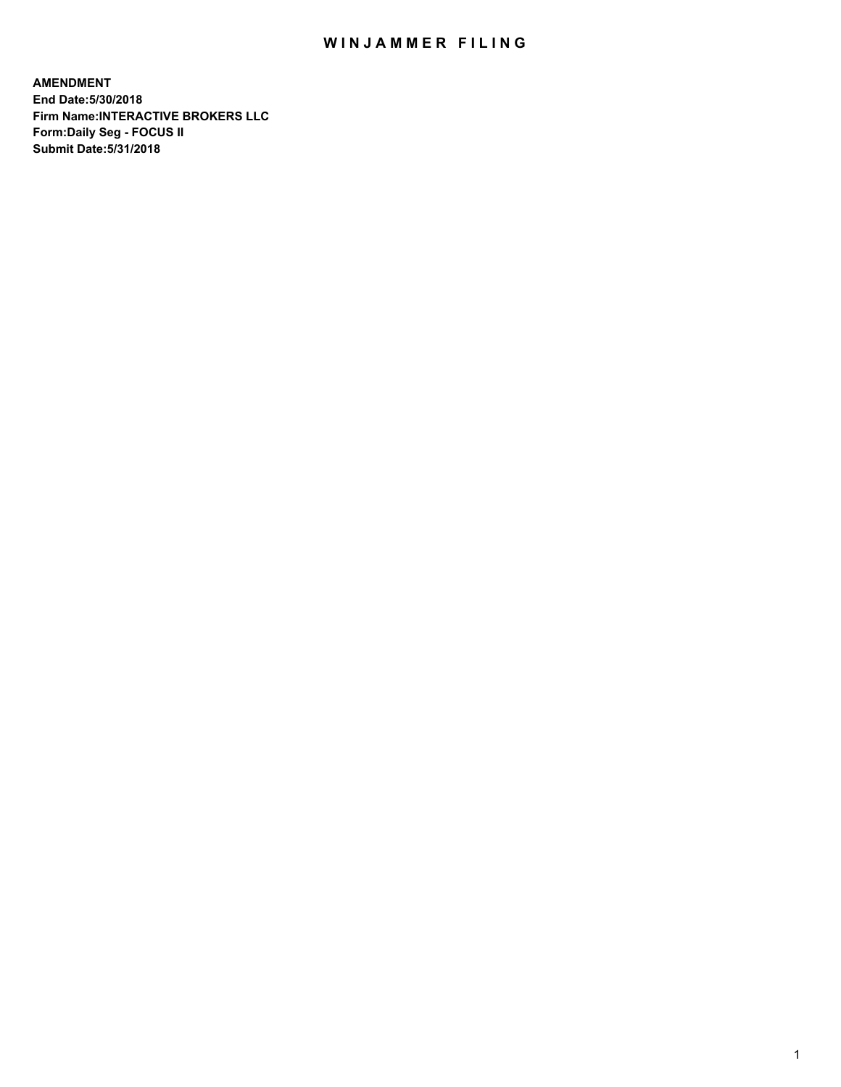## WIN JAMMER FILING

**AMENDMENT End Date:5/30/2018 Firm Name:INTERACTIVE BROKERS LLC Form:Daily Seg - FOCUS II Submit Date:5/31/2018**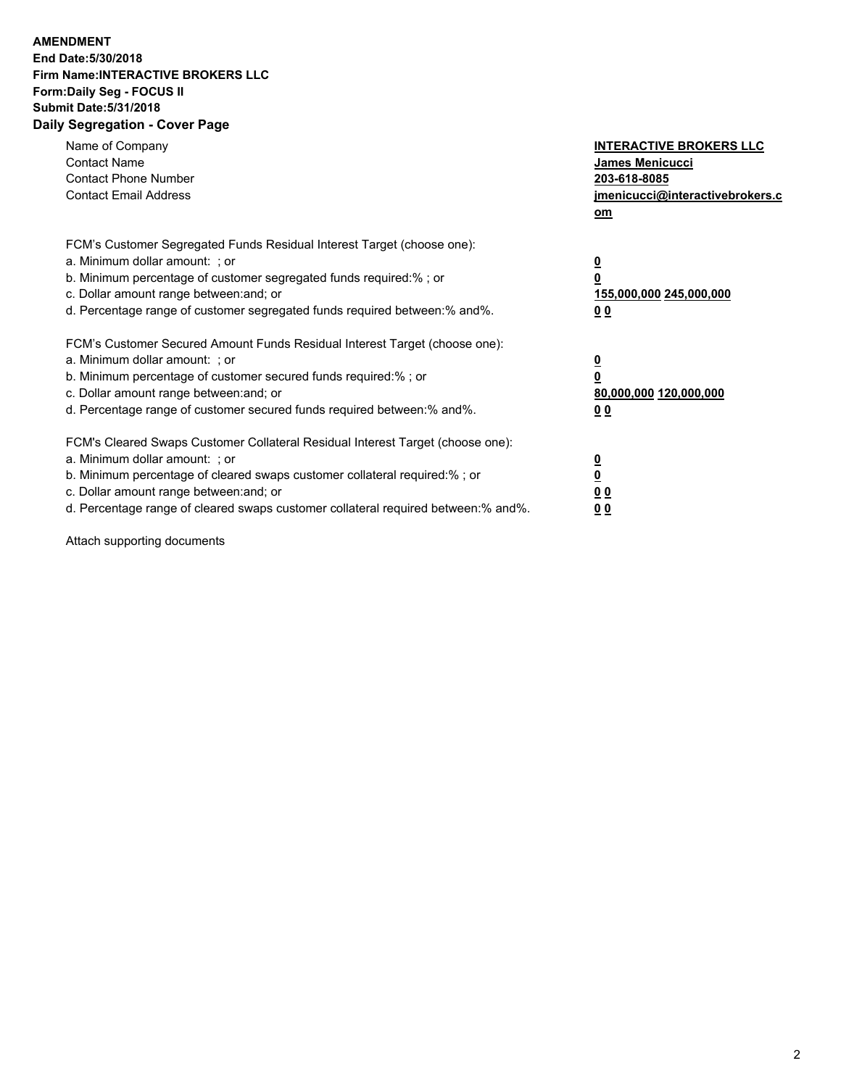## **AMENDMENT End Date:5/30/2018 Firm Name:INTERACTIVE BROKERS LLC Form:Daily Seg - FOCUS II Submit Date:5/31/2018 Daily Segregation - Cover Page**

| Name of Company<br><b>Contact Name</b><br><b>Contact Phone Number</b>                                                                                                                                                                                                                                                          | <b>INTERACTIVE BROKERS LLC</b><br><b>James Menicucci</b><br>203-618-8085                        |
|--------------------------------------------------------------------------------------------------------------------------------------------------------------------------------------------------------------------------------------------------------------------------------------------------------------------------------|-------------------------------------------------------------------------------------------------|
| <b>Contact Email Address</b>                                                                                                                                                                                                                                                                                                   | jmenicucci@interactivebrokers.c<br>om                                                           |
| FCM's Customer Segregated Funds Residual Interest Target (choose one):<br>a. Minimum dollar amount: ; or<br>b. Minimum percentage of customer segregated funds required:% ; or<br>c. Dollar amount range between: and; or<br>d. Percentage range of customer segregated funds required between:% and%.                         | $\overline{\mathbf{0}}$<br>$\overline{\mathbf{0}}$<br>155,000,000 245,000,000<br>0 <sub>0</sub> |
| FCM's Customer Secured Amount Funds Residual Interest Target (choose one):<br>a. Minimum dollar amount: ; or<br>b. Minimum percentage of customer secured funds required:%; or<br>c. Dollar amount range between: and; or<br>d. Percentage range of customer secured funds required between: % and %.                          | $\overline{\mathbf{0}}$<br>$\overline{\mathbf{0}}$<br>80,000,000 120,000,000<br>0 <sub>0</sub>  |
| FCM's Cleared Swaps Customer Collateral Residual Interest Target (choose one):<br>a. Minimum dollar amount: ; or<br>b. Minimum percentage of cleared swaps customer collateral required:% ; or<br>c. Dollar amount range between: and; or<br>d. Percentage range of cleared swaps customer collateral required between:% and%. | $\overline{\mathbf{0}}$<br>$\underline{\mathbf{0}}$<br>0 <sub>0</sub><br>0 <sup>0</sup>         |

Attach supporting documents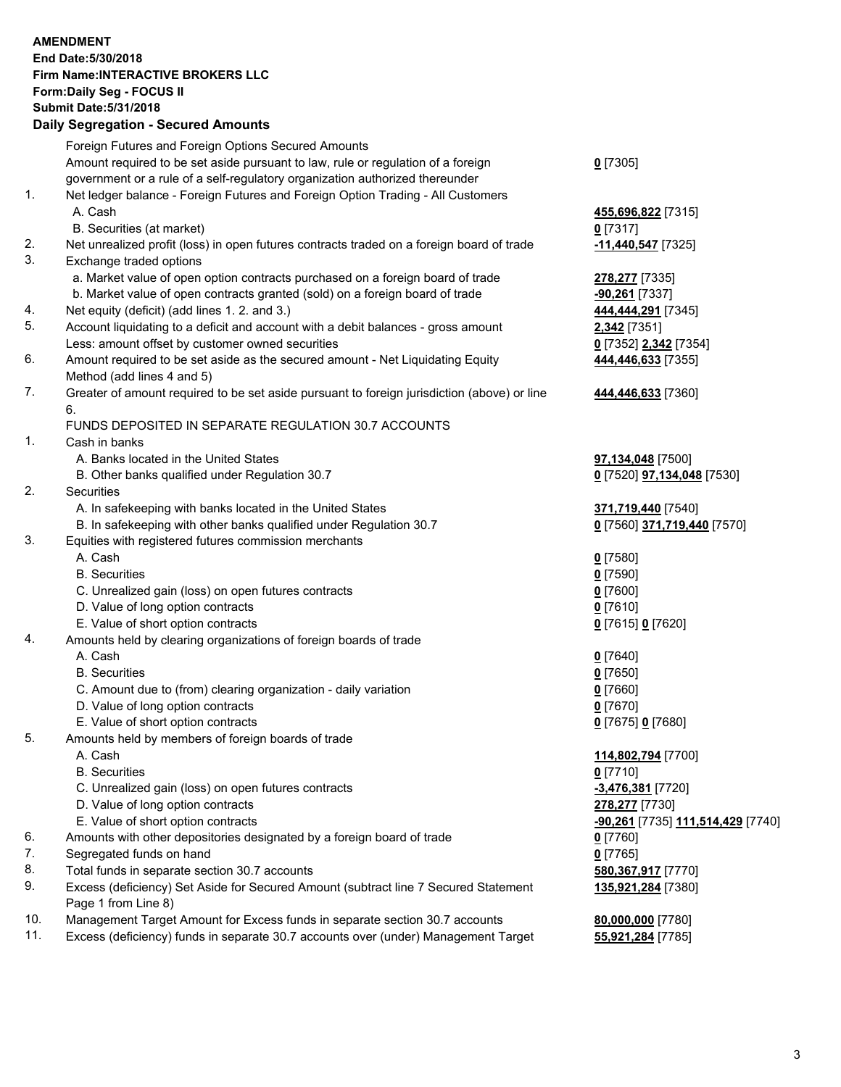## **AMENDMENT End Date:5/30/2018 Firm Name:INTERACTIVE BROKERS LLC Form:Daily Seg - FOCUS II Submit Date:5/31/2018 Daily Segregation - Secured Amounts**

|     | Foreign Futures and Foreign Options Secured Amounts                                                        |                                                |
|-----|------------------------------------------------------------------------------------------------------------|------------------------------------------------|
|     | Amount required to be set aside pursuant to law, rule or regulation of a foreign                           | $0$ [7305]                                     |
|     | government or a rule of a self-regulatory organization authorized thereunder                               |                                                |
| 1.  | Net ledger balance - Foreign Futures and Foreign Option Trading - All Customers                            |                                                |
|     | A. Cash                                                                                                    | 455,696,822 [7315]                             |
|     | B. Securities (at market)                                                                                  | 0 [7317]                                       |
| 2.  | Net unrealized profit (loss) in open futures contracts traded on a foreign board of trade                  | -11,440,547 <sup>[7325]</sup>                  |
| 3.  | Exchange traded options                                                                                    |                                                |
|     | a. Market value of open option contracts purchased on a foreign board of trade                             | 278,277 [7335]                                 |
|     | b. Market value of open contracts granted (sold) on a foreign board of trade                               | -90,261 [7337]                                 |
| 4.  | Net equity (deficit) (add lines 1.2. and 3.)                                                               | 444,444,291 [7345]                             |
| 5.  | Account liquidating to a deficit and account with a debit balances - gross amount                          | 2,342 [7351]                                   |
|     | Less: amount offset by customer owned securities                                                           | 0 [7352] 2,342 [7354]                          |
| 6.  | Amount required to be set aside as the secured amount - Net Liquidating Equity                             | 444,446,633 [7355]                             |
|     | Method (add lines 4 and 5)                                                                                 |                                                |
| 7.  | Greater of amount required to be set aside pursuant to foreign jurisdiction (above) or line                | 444,446,633 [7360]                             |
|     | 6.                                                                                                         |                                                |
|     | FUNDS DEPOSITED IN SEPARATE REGULATION 30.7 ACCOUNTS                                                       |                                                |
| 1.  | Cash in banks                                                                                              |                                                |
|     | A. Banks located in the United States                                                                      | 97,134,048 [7500]                              |
|     | B. Other banks qualified under Regulation 30.7                                                             | 0 [7520] 97,134,048 [7530]                     |
| 2.  | Securities                                                                                                 |                                                |
|     | A. In safekeeping with banks located in the United States                                                  | 371,719,440 [7540]                             |
|     | B. In safekeeping with other banks qualified under Regulation 30.7                                         | 0 [7560] 371,719,440 [7570]                    |
| 3.  | Equities with registered futures commission merchants                                                      |                                                |
|     | A. Cash                                                                                                    | $0$ [7580]                                     |
|     | <b>B.</b> Securities                                                                                       | $0$ [7590]                                     |
|     | C. Unrealized gain (loss) on open futures contracts                                                        | $0$ [7600]                                     |
|     | D. Value of long option contracts                                                                          | $0$ [7610]                                     |
|     | E. Value of short option contracts                                                                         | 0 [7615] 0 [7620]                              |
| 4.  | Amounts held by clearing organizations of foreign boards of trade                                          |                                                |
|     | A. Cash                                                                                                    | $0$ [7640]                                     |
|     | <b>B.</b> Securities                                                                                       | $0$ [7650]                                     |
|     | C. Amount due to (from) clearing organization - daily variation                                            | $0$ [7660]                                     |
|     | D. Value of long option contracts                                                                          | $0$ [7670]                                     |
|     | E. Value of short option contracts                                                                         | 0 [7675] 0 [7680]                              |
| 5.  | Amounts held by members of foreign boards of trade                                                         |                                                |
|     | A. Cash                                                                                                    | 114,802,794 [7700]                             |
|     | <b>B.</b> Securities                                                                                       | $0$ [7710]                                     |
|     | C. Unrealized gain (loss) on open futures contracts                                                        | -3,476,381 [7720]                              |
|     | D. Value of long option contracts                                                                          | 278,277 [7730]                                 |
|     | E. Value of short option contracts                                                                         | <mark>-90,261</mark> [7735] 111,514,429 [7740] |
| 6.  | Amounts with other depositories designated by a foreign board of trade                                     | 0 [7760]                                       |
| 7.  | Segregated funds on hand                                                                                   | $0$ [7765]                                     |
| 8.  | Total funds in separate section 30.7 accounts                                                              | 580,367,917 [7770]                             |
| 9.  | Excess (deficiency) Set Aside for Secured Amount (subtract line 7 Secured Statement<br>Page 1 from Line 8) | 135,921,284 [7380]                             |
| 10. | Management Target Amount for Excess funds in separate section 30.7 accounts                                | 80,000,000 [7780]                              |
| 11. | Excess (deficiency) funds in separate 30.7 accounts over (under) Management Target                         | 55,921,284 [7785]                              |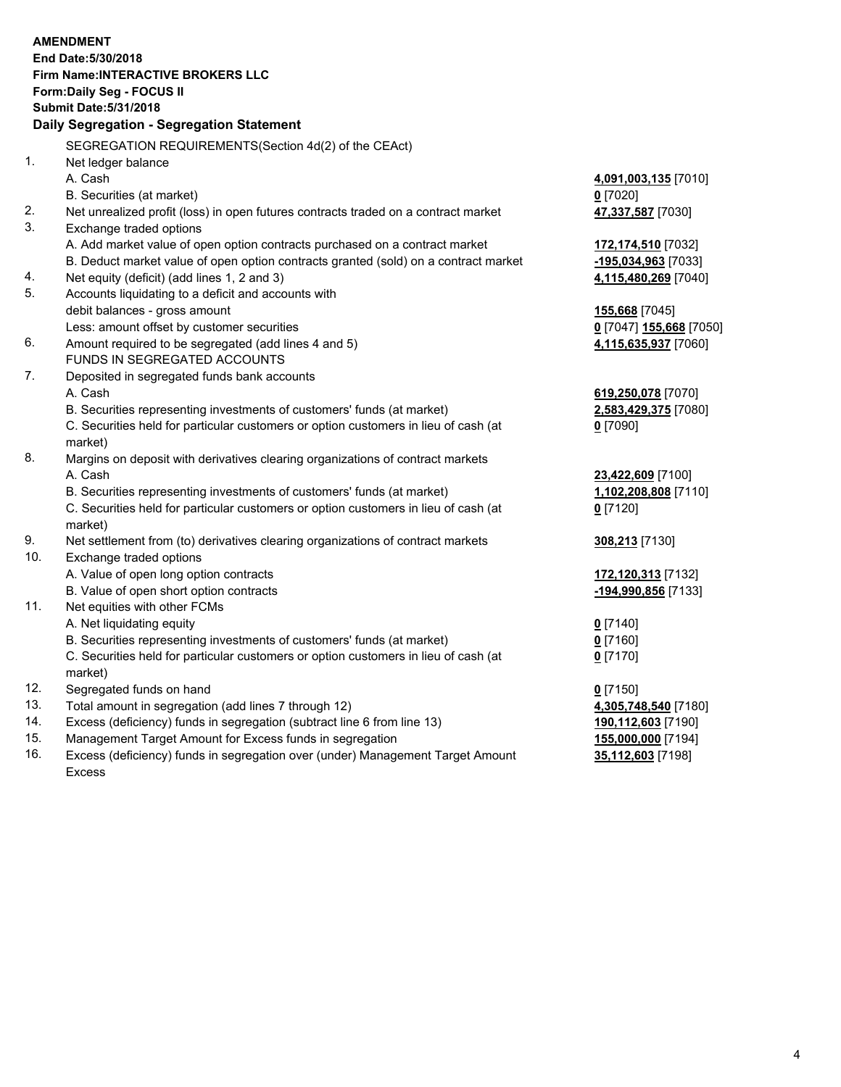|     | <b>AMENDMENT</b><br>End Date: 5/30/2018<br>Firm Name: INTERACTIVE BROKERS LLC<br>Form: Daily Seg - FOCUS II<br><b>Submit Date: 5/31/2018</b><br>Daily Segregation - Segregation Statement |                          |
|-----|-------------------------------------------------------------------------------------------------------------------------------------------------------------------------------------------|--------------------------|
|     | SEGREGATION REQUIREMENTS(Section 4d(2) of the CEAct)                                                                                                                                      |                          |
| 1.  | Net ledger balance                                                                                                                                                                        |                          |
|     | A. Cash                                                                                                                                                                                   | 4,091,003,135 [7010]     |
|     | B. Securities (at market)                                                                                                                                                                 | $0$ [7020]               |
| 2.  | Net unrealized profit (loss) in open futures contracts traded on a contract market                                                                                                        | 47,337,587 [7030]        |
| 3.  | Exchange traded options                                                                                                                                                                   |                          |
|     | A. Add market value of open option contracts purchased on a contract market                                                                                                               | 172,174,510 [7032]       |
|     | B. Deduct market value of open option contracts granted (sold) on a contract market                                                                                                       | -195,034,963 [7033]      |
| 4.  | Net equity (deficit) (add lines 1, 2 and 3)                                                                                                                                               | 4,115,480,269 [7040]     |
| 5.  | Accounts liquidating to a deficit and accounts with                                                                                                                                       |                          |
|     | debit balances - gross amount                                                                                                                                                             | <b>155,668</b> [7045]    |
|     | Less: amount offset by customer securities                                                                                                                                                | 0 [7047] 155,668 [7050]  |
| 6.  | Amount required to be segregated (add lines 4 and 5)                                                                                                                                      | 4,115,635,937 [7060]     |
|     | FUNDS IN SEGREGATED ACCOUNTS                                                                                                                                                              |                          |
| 7.  | Deposited in segregated funds bank accounts                                                                                                                                               |                          |
|     | A. Cash                                                                                                                                                                                   | 619,250,078 [7070]       |
|     | B. Securities representing investments of customers' funds (at market)                                                                                                                    | 2,583,429,375 [7080]     |
|     | C. Securities held for particular customers or option customers in lieu of cash (at                                                                                                       | $0$ [7090]               |
|     | market)                                                                                                                                                                                   |                          |
| 8.  | Margins on deposit with derivatives clearing organizations of contract markets                                                                                                            |                          |
|     | A. Cash                                                                                                                                                                                   | 23,422,609 [7100]        |
|     | B. Securities representing investments of customers' funds (at market)                                                                                                                    | 1,102,208,808 [7110]     |
|     | C. Securities held for particular customers or option customers in lieu of cash (at                                                                                                       | $0$ [7120]               |
| 9.  | market)<br>Net settlement from (to) derivatives clearing organizations of contract markets                                                                                                |                          |
| 10. | Exchange traded options                                                                                                                                                                   | 308,213 [7130]           |
|     | A. Value of open long option contracts                                                                                                                                                    | 172,120,313 [7132]       |
|     | B. Value of open short option contracts                                                                                                                                                   | -194,990,856 [7133]      |
| 11. | Net equities with other FCMs                                                                                                                                                              |                          |
|     | A. Net liquidating equity                                                                                                                                                                 | $0$ [7140]               |
|     | B. Securities representing investments of customers' funds (at market)                                                                                                                    | 0 [7160]                 |
|     | C. Securities held for particular customers or option customers in lieu of cash (at                                                                                                       | $0$ [7170]               |
|     | market)                                                                                                                                                                                   |                          |
| 12. | Segregated funds on hand                                                                                                                                                                  | $0$ [7150]               |
| 13. | Total amount in segregation (add lines 7 through 12)                                                                                                                                      | 4,305,748,540 [7180]     |
| 14. | Excess (deficiency) funds in segregation (subtract line 6 from line 13)                                                                                                                   | 190,112,603 [7190]       |
| 15. | Management Target Amount for Excess funds in segregation                                                                                                                                  | 155,000,000 [7194]       |
| 16. | Execes (defigionar) fundo in cogregation aver (under) Managament Target Amount                                                                                                            | <b>25 440 602 574001</b> |

16. Excess (deficiency) funds in segregation over (under) Management Target Amount Excess

**35,112,603** [7198]